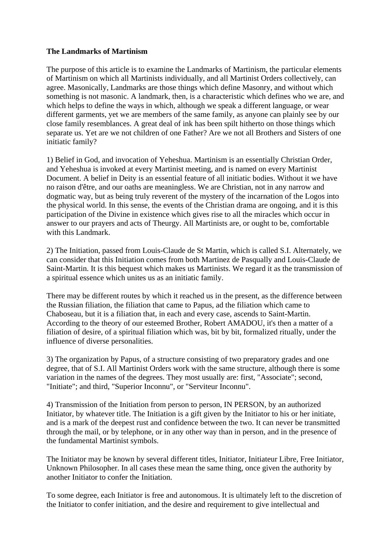## **The Landmarks of Martinism**

The purpose of this article is to examine the Landmarks of Martinism, the particular elements of Martinism on which all Martinists individually, and all Martinist Orders collectively, can agree. Masonically, Landmarks are those things which define Masonry, and without which something is not masonic. A landmark, then, is a characteristic which defines who we are, and which helps to define the ways in which, although we speak a different language, or wear different garments, yet we are members of the same family, as anyone can plainly see by our close family resemblances. A great deal of ink has been spilt hitherto on those things which separate us. Yet are we not children of one Father? Are we not all Brothers and Sisters of one initiatic family?

1) Belief in God, and invocation of Yeheshua. Martinism is an essentially Christian Order, and Yeheshua is invoked at every Martinist meeting, and is named on every Martinist Document. A belief in Deity is an essential feature of all initiatic bodies. Without it we have no raison d'être, and our oaths are meaningless. We are Christian, not in any narrow and dogmatic way, but as being truly reverent of the mystery of the incarnation of the Logos into the physical world. In this sense, the events of the Christian drama are ongoing, and it is this participation of the Divine in existence which gives rise to all the miracles which occur in answer to our prayers and acts of Theurgy. All Martinists are, or ought to be, comfortable with this Landmark.

2) The Initiation, passed from Louis-Claude de St Martin, which is called S.I. Alternately, we can consider that this Initiation comes from both Martinez de Pasqually and Louis-Claude de Saint-Martin. It is this bequest which makes us Martinists. We regard it as the transmission of a spiritual essence which unites us as an initiatic family.

There may be different routes by which it reached us in the present, as the difference between the Russian filiation, the filiation that came to Papus, ad the filiation which came to Chaboseau, but it is a filiation that, in each and every case, ascends to Saint-Martin. According to the theory of our esteemed Brother, Robert AMADOU, it's then a matter of a filiation of desire, of a spiritual filiation which was, bit by bit, formalized ritually, under the influence of diverse personalities.

3) The organization by Papus, of a structure consisting of two preparatory grades and one degree, that of S.I. All Martinist Orders work with the same structure, although there is some variation in the names of the degrees. They most usually are: first, "Associate"; second, "Initiate"; and third, "Superior Inconnu", or "Serviteur Inconnu".

4) Transmission of the Initiation from person to person, IN PERSON, by an authorized Initiator, by whatever title. The Initiation is a gift given by the Initiator to his or her initiate, and is a mark of the deepest rust and confidence between the two. It can never be transmitted through the mail, or by telephone, or in any other way than in person, and in the presence of the fundamental Martinist symbols.

The Initiator may be known by several different titles, Initiator, Initiateur Libre, Free Initiator, Unknown Philosopher. In all cases these mean the same thing, once given the authority by another Initiator to confer the Initiation.

To some degree, each Initiator is free and autonomous. It is ultimately left to the discretion of the Initiator to confer initiation, and the desire and requirement to give intellectual and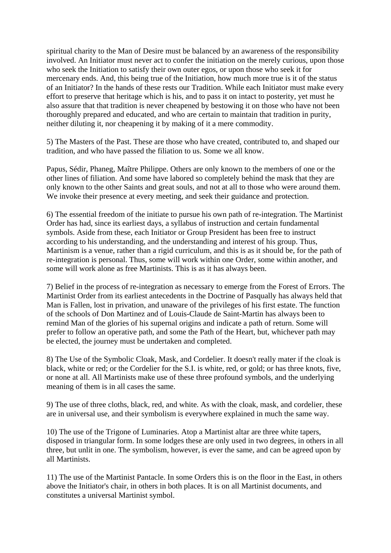spiritual charity to the Man of Desire must be balanced by an awareness of the responsibility involved. An Initiator must never act to confer the initiation on the merely curious, upon those who seek the Initiation to satisfy their own outer egos, or upon those who seek it for mercenary ends. And, this being true of the Initiation, how much more true is it of the status of an Initiator? In the hands of these rests our Tradition. While each Initiator must make every effort to preserve that heritage which is his, and to pass it on intact to posterity, yet must he also assure that that tradition is never cheapened by bestowing it on those who have not been thoroughly prepared and educated, and who are certain to maintain that tradition in purity, neither diluting it, nor cheapening it by making of it a mere commodity.

5) The Masters of the Past. These are those who have created, contributed to, and shaped our tradition, and who have passed the filiation to us. Some we all know.

Papus, Sédir, Phaneg, Maître Philippe. Others are only known to the members of one or the other lines of filiation. And some have labored so completely behind the mask that they are only known to the other Saints and great souls, and not at all to those who were around them. We invoke their presence at every meeting, and seek their guidance and protection.

6) The essential freedom of the initiate to pursue his own path of re-integration. The Martinist Order has had, since its earliest days, a syllabus of instruction and certain fundamental symbols. Aside from these, each Initiator or Group President has been free to instruct according to his understanding, and the understanding and interest of his group. Thus, Martinism is a venue, rather than a rigid curriculum, and this is as it should be, for the path of re-integration is personal. Thus, some will work within one Order, some within another, and some will work alone as free Martinists. This is as it has always been.

7) Belief in the process of re-integration as necessary to emerge from the Forest of Errors. The Martinist Order from its earliest antecedents in the Doctrine of Pasqually has always held that Man is Fallen, lost in privation, and unaware of the privileges of his first estate. The function of the schools of Don Martinez and of Louis-Claude de Saint-Martin has always been to remind Man of the glories of his supernal origins and indicate a path of return. Some will prefer to follow an operative path, and some the Path of the Heart, but, whichever path may be elected, the journey must be undertaken and completed.

8) The Use of the Symbolic Cloak, Mask, and Cordelier. It doesn't really mater if the cloak is black, white or red; or the Cordelier for the S.I. is white, red, or gold; or has three knots, five, or none at all. All Martinists make use of these three profound symbols, and the underlying meaning of them is in all cases the same.

9) The use of three cloths, black, red, and white. As with the cloak, mask, and cordelier, these are in universal use, and their symbolism is everywhere explained in much the same way.

10) The use of the Trigone of Luminaries. Atop a Martinist altar are three white tapers, disposed in triangular form. In some lodges these are only used in two degrees, in others in all three, but unlit in one. The symbolism, however, is ever the same, and can be agreed upon by all Martinists.

11) The use of the Martinist Pantacle. In some Orders this is on the floor in the East, in others above the Initiator's chair, in others in both places. It is on all Martinist documents, and constitutes a universal Martinist symbol.